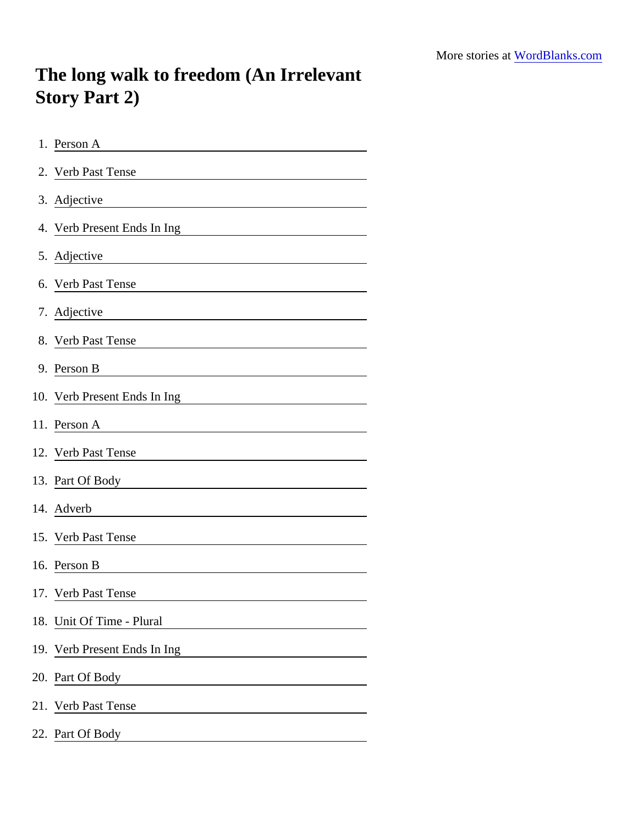## The long walk to freedom (An Irrelevant Story Part 2)

| 1. Person A                                                                                                                                |  |  |  |  |  |  |
|--------------------------------------------------------------------------------------------------------------------------------------------|--|--|--|--|--|--|
| 2. Verb Past Tense                                                                                                                         |  |  |  |  |  |  |
| 3. Adjective<br><u> 1980 - Johann Barn, mars ar breithinn ar chomhann an t-Alban ann an t-Alban ann an t-Alban ann an t-Alban an</u>       |  |  |  |  |  |  |
| 4. Verb Present Ends In Ing<br><u> 1980 - Andrea Station Barbara, amerikan personal (h. 1980).</u>                                         |  |  |  |  |  |  |
| 5. Adjective<br><u> 1980 - Johann Barn, mars ann an t-Amhain an t-Amhain an t-Amhain an t-Amhain an t-Amhain an t-Amhain an t-A</u>        |  |  |  |  |  |  |
| 6. Verb Past Tense<br><u> 1980 - Johann Barn, mars ann an t-Amhain Aonaich an t-Aonaich an t-Aonaich ann an t-Aonaich ann an t-Aonaich</u> |  |  |  |  |  |  |
| 7. Adjective                                                                                                                               |  |  |  |  |  |  |
| 8. Verb Past Tense                                                                                                                         |  |  |  |  |  |  |
| 9. Person B<br><u> 1989 - Johann Stoff, Amerikaansk politiker (</u>                                                                        |  |  |  |  |  |  |
| 10. Verb Present Ends In Ing                                                                                                               |  |  |  |  |  |  |
| 11. Person A                                                                                                                               |  |  |  |  |  |  |
| 12. Verb Past Tense                                                                                                                        |  |  |  |  |  |  |
| 13. Part Of Body <b>Communication</b> Communication of Body                                                                                |  |  |  |  |  |  |
| 14. Adverb                                                                                                                                 |  |  |  |  |  |  |
| 15. Verb Past Tense<br><u> 1989 - Johann Harry Barn, mars ar breist fan de Fryske kommunent (</u>                                          |  |  |  |  |  |  |
| 16. Person B                                                                                                                               |  |  |  |  |  |  |
| 17. Verb Past Tense                                                                                                                        |  |  |  |  |  |  |
| 18. Unit Of Time - Plural                                                                                                                  |  |  |  |  |  |  |
| 19. Verb Present Ends In Ing                                                                                                               |  |  |  |  |  |  |
| 20. Part Of Body<br>the control of the control of the                                                                                      |  |  |  |  |  |  |
| 21. Verb Past Tense                                                                                                                        |  |  |  |  |  |  |
| 22. Part Of Body                                                                                                                           |  |  |  |  |  |  |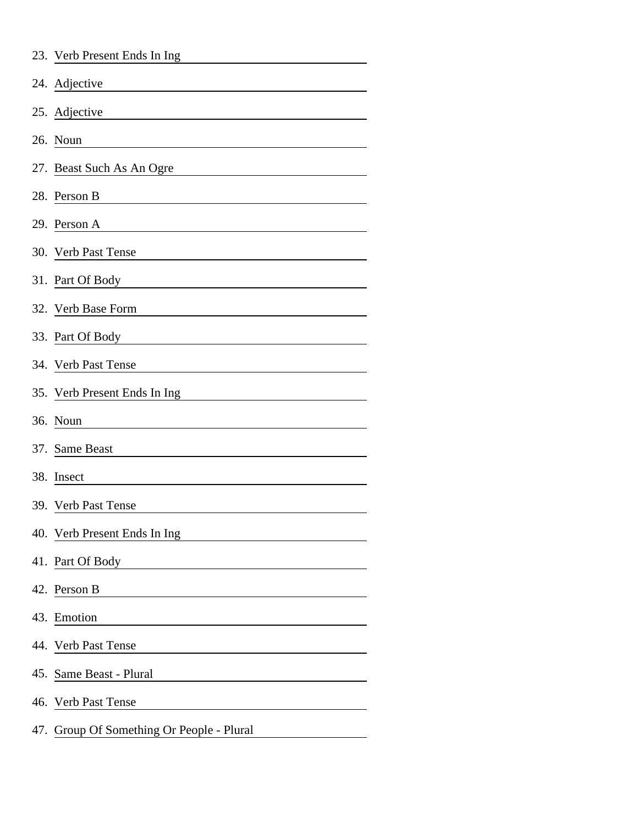|     | 23. Verb Present Ends In Ing          |
|-----|---------------------------------------|
|     | 24. Adjective                         |
|     | 25. Adjective                         |
|     | 26. Noun                              |
|     | 27. Beast Such As An Ogre             |
|     | 28. Person B                          |
|     | 29. Person A                          |
|     | 30. Verb Past Tense                   |
|     | 31. Part Of Body                      |
|     | 32. Verb Base Form                    |
|     | 33. Part Of Body                      |
|     | 34. Verb Past Tense                   |
|     | 35. Verb Present Ends In Ing          |
|     | 36. Noun                              |
|     | 37. Same Beast                        |
|     | 38. Insect                            |
|     | 39. Verb Past Tense                   |
|     | 40. Verb Present Ends In Ing          |
|     | 41. Part Of Body                      |
|     | 42. Person B                          |
|     | 43. Emotion                           |
|     | 44. Verb Past Tense                   |
|     | 45. Same Beast - Plural               |
|     | 46. Verb Past Tense                   |
| 47. | Group Of Something Or People - Plural |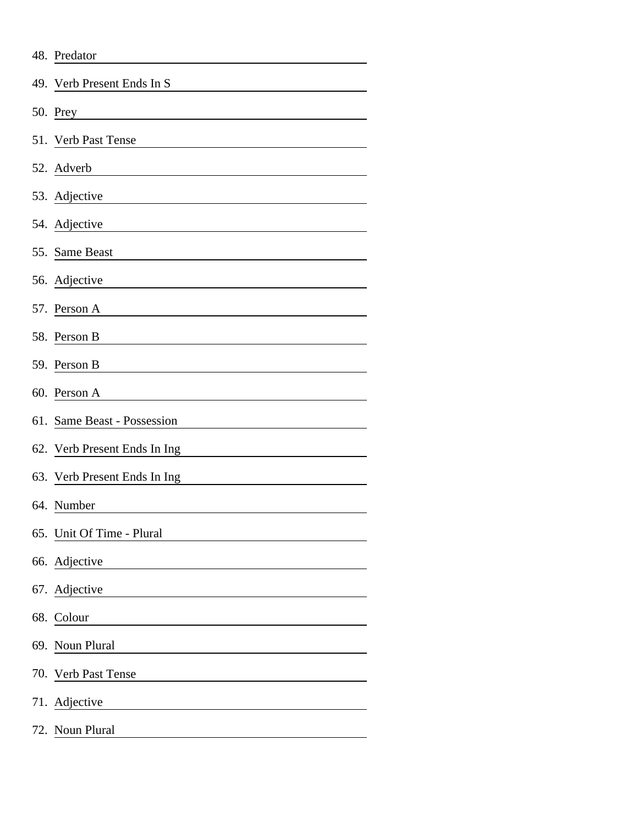| 48. Predator                 |  |  |  |  |  |  |
|------------------------------|--|--|--|--|--|--|
| 49. Verb Present Ends In S   |  |  |  |  |  |  |
| 50. Prey                     |  |  |  |  |  |  |
| 51. Verb Past Tense          |  |  |  |  |  |  |
| 52. Adverb                   |  |  |  |  |  |  |
| 53. Adjective                |  |  |  |  |  |  |
| 54. Adjective                |  |  |  |  |  |  |
| 55. Same Beast               |  |  |  |  |  |  |
| 56. Adjective                |  |  |  |  |  |  |
| 57. Person A                 |  |  |  |  |  |  |
| 58. Person B                 |  |  |  |  |  |  |
| 59. Person B                 |  |  |  |  |  |  |
| 60. Person A                 |  |  |  |  |  |  |
| 61. Same Beast - Possession  |  |  |  |  |  |  |
| 62. Verb Present Ends In Ing |  |  |  |  |  |  |
| 63. Verb Present Ends In Ing |  |  |  |  |  |  |
| 64. Number                   |  |  |  |  |  |  |
| 65. Unit Of Time - Plural    |  |  |  |  |  |  |
| 66. Adjective                |  |  |  |  |  |  |
| 67. Adjective                |  |  |  |  |  |  |
| 68. Colour                   |  |  |  |  |  |  |
| 69. Noun Plural              |  |  |  |  |  |  |
| 70. Verb Past Tense          |  |  |  |  |  |  |
| 71. Adjective                |  |  |  |  |  |  |
| 72. Noun Plural              |  |  |  |  |  |  |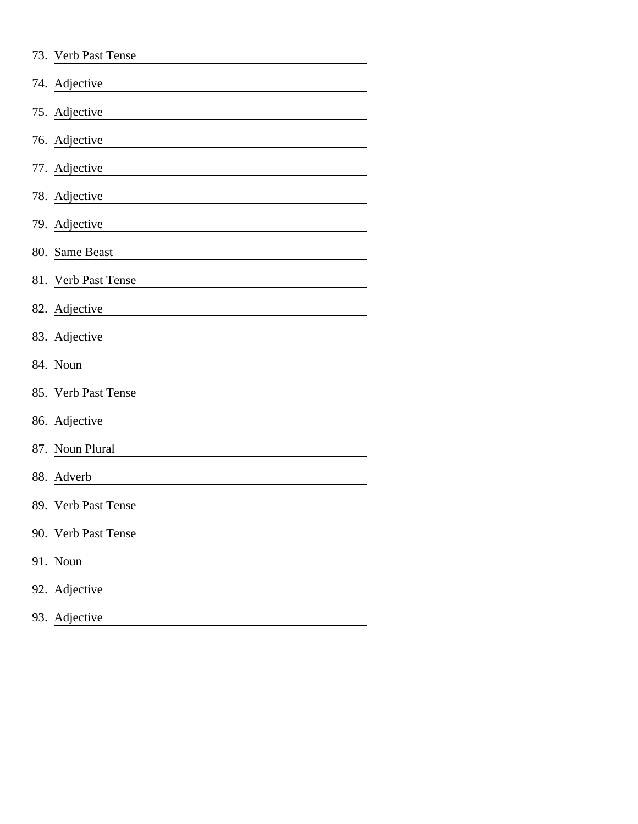| 73. Verb Past Tense |
|---------------------|
| 74. Adjective       |
| 75. Adjective       |
| 76. Adjective       |
| 77. Adjective       |
| 78. Adjective       |
| 79. Adjective       |
| 80. Same Beast      |
| 81. Verb Past Tense |
| 82. Adjective       |
| 83. Adjective       |
| 84. Noun            |
| 85. Verb Past Tense |
| 86. Adjective       |
| 87. Noun Plural     |
| 88. Adverb          |
| 89. Verb Past Tense |
| 90. Verb Past Tense |
| 91. Noun            |
| 92. Adjective       |
| 93. Adjective       |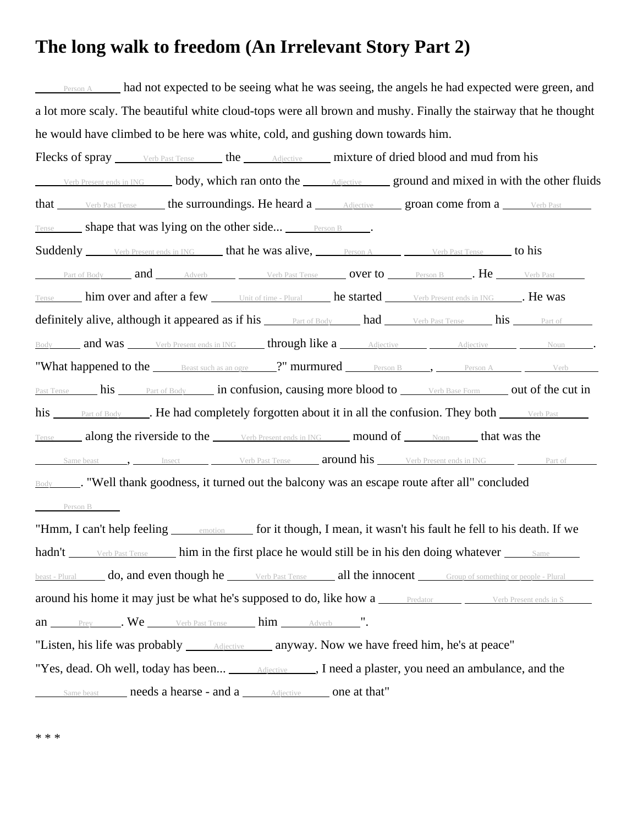## **The long walk to freedom (An Irrelevant Story Part 2)**

Person A had not expected to be seeing what he was seeing, the angels he had expected were green, and a lot more scaly. The beautiful white cloud-tops were all brown and mushy. Finally the stairway that he thought he would have climbed to be here was white, cold, and gushing down towards him. Flecks of spray Verb Past Tense the Adjective mixture of dried blood and mud from his Verb Present ends in ING body, which ran onto the Adjective ground and mixed in with the other fluids that verb Past Tense the surroundings. He heard a Adjective groan come from a Verb Past Tense shape that was lying on the other side... Person B . Suddenly Verb Present ends in ING that he was alive, Person A Verb Past Tense to his Part of Body  $\qquad \qquad \text{and} \qquad \qquad$  Adverb  $\qquad \qquad \qquad \text{Verb Past Tensor} \qquad \qquad \text{Over to} \qquad \qquad \text{Person B} \qquad \qquad \text{Let} \qquad \text{Verb Past}$ Tense him over and after a few Unit of time - Plural he started Verb Present ends in ING . He was definitely alive, although it appeared as if his <u>Part of Body had Verb Past Tense</u> his Part of Body and was Verb Present ends in ING through like a Adjective Adjective Adjective Noun . "What happened to the  $\_\_\_\_\$ Eeast such as an ogre  $\_\_\$ ?" murmured  $\_\_\_\_\_\$ Person B ,  $\_\_\_\_\_\_\$ Person A  $\_\_\_\_\_\_\_\_\_\$ Past Tense his Part of Body in confusion, causing more blood to Verb Base Form out of the cut in his Part of Body **. He had completely forgotten about it in all the confusion. They both** Verb Past Tense along the riverside to the Verb Present ends in ING mound of Noun that was the Same beast  $\Box$ , Insect  $\Box$  Verb Past Tense  $\Box$  around his  $\Box$  Verb Present ends in ING  $\Box$  Part of Body . "Well thank goodness, it turned out the balcony was an escape route after all" concluded Person B "Hmm, I can't help feeling emotion for it though, I mean, it wasn't his fault he fell to his death. If we hadn't verb Past Tense him in the first place he would still be in his den doing whatever Same beast - Plural **do, and even though he** Verb Past Tense **all the innocent** Group of something or people - Plural around his home it may just be what he's supposed to do, like how a <u>Predator Predator Verb Present ends in S</u> an Prey . We Verb Past Tense him Adverb ". "Listen, his life was probably <u>Adjective anyway</u>. Now we have freed him, he's at peace" "Yes, dead. Oh well, today has been... <u>Adjective J</u>, I need a plaster, you need an ambulance, and the Same beast **needs a hearse - and a** Adjective **one at that**"